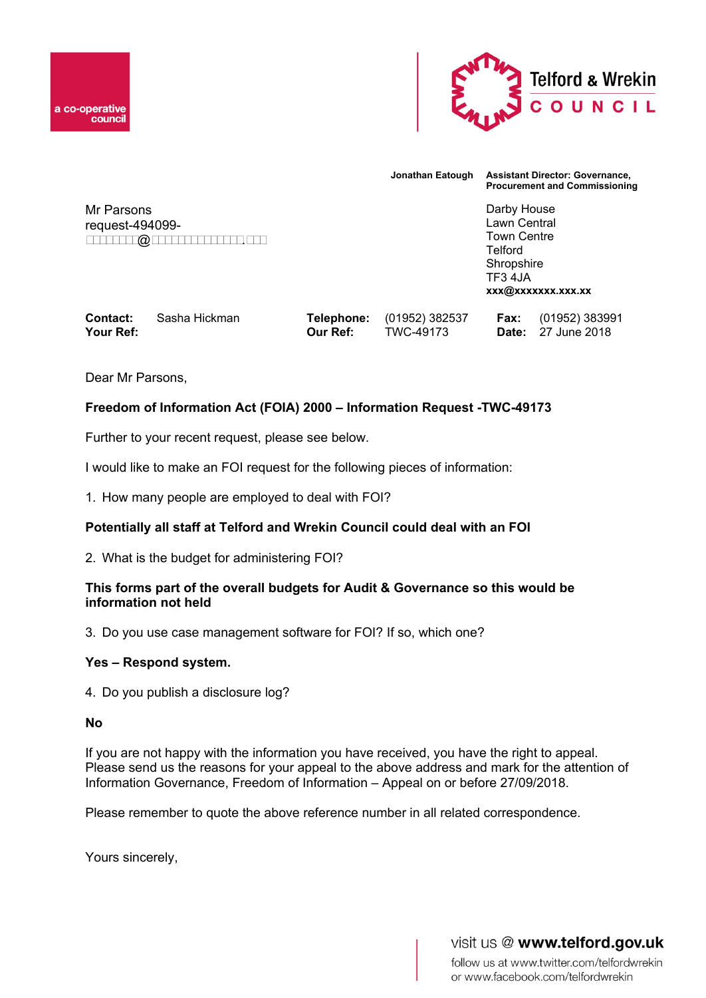



**Jonathan Eatough Assistant Director: Governance, Procurement and Commissioning**

Mr Parsons request-494099 xxxxxxxx@xxxxxxxxxxxxxx.xxx Darby House Lawn Central Town Centre **Telford** Shropshire TF3 4JA **xxx@xxxxxxx.xxx.xx**

| Contact:  | Sasha Hickman |                 | <b>Telephone:</b> (01952) 382537 | <b>Fax:</b> (01952) 383991 |
|-----------|---------------|-----------------|----------------------------------|----------------------------|
| Your Ref: |               | <b>Our Ref:</b> | TWC-49173                        | <b>Date:</b> 27 June 2018  |

Dear Mr Parsons,

# **Freedom of Information Act (FOIA) 2000 – Information Request -TWC-49173**

Further to your recent request, please see below.

I would like to make an FOI request for the following pieces of information:

1. How many people are employed to deal with FOI?

# **Potentially all staff at Telford and Wrekin Council could deal with an FOI**

2. What is the budget for administering FOI?

# **This forms part of the overall budgets for Audit & Governance so this would be information not held**

3. Do you use case management software for FOI? If so, which one?

# **Yes – Respond system.**

4. Do you publish a disclosure log?

#### **No**

If you are not happy with the information you have received, you have the right to appeal. Please send us the reasons for your appeal to the above address and mark for the attention of Information Governance, Freedom of Information – Appeal on or before 27/09/2018.

Please remember to quote the above reference number in all related correspondence.

Yours sincerely,

visit us @ www.telford.gov.uk

follow us at www.twitter.com/telfordwrekin or www.facebook.com/telfordwrekin